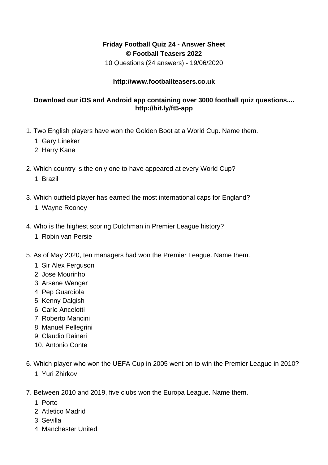## **Friday Football Quiz 24 - Answer Sheet © Football Teasers 2022**

10 Questions (24 answers) - 19/06/2020

## **http://www.footballteasers.co.uk**

## **Download our iOS and Android app containing over 3000 football quiz questions.... http://bit.ly/ft5-app**

- 1. Two English players have won the Golden Boot at a World Cup. Name them.
	- 1. Gary Lineker
	- 2. Harry Kane
- 2. Which country is the only one to have appeared at every World Cup?
	- 1. Brazil
- 3. Which outfield player has earned the most international caps for England?
	- 1. Wayne Rooney
- 4. Who is the highest scoring Dutchman in Premier League history?
	- 1. Robin van Persie
- 5. As of May 2020, ten managers had won the Premier League. Name them.
	- 1. Sir Alex Ferguson
	- 2. Jose Mourinho
	- 3. Arsene Wenger
	- 4. Pep Guardiola
	- 5. Kenny Dalgish
	- 6. Carlo Ancelotti
	- 7. Roberto Mancini
	- 8. Manuel Pellegrini
	- 9. Claudio Raineri
	- 10. Antonio Conte
- 6. Which player who won the UEFA Cup in 2005 went on to win the Premier League in 2010?
	- 1. Yuri Zhirkov
- 7. Between 2010 and 2019, five clubs won the Europa League. Name them.
	- 1. Porto
	- 2. Atletico Madrid
	- 3. Sevilla
	- 4. Manchester United